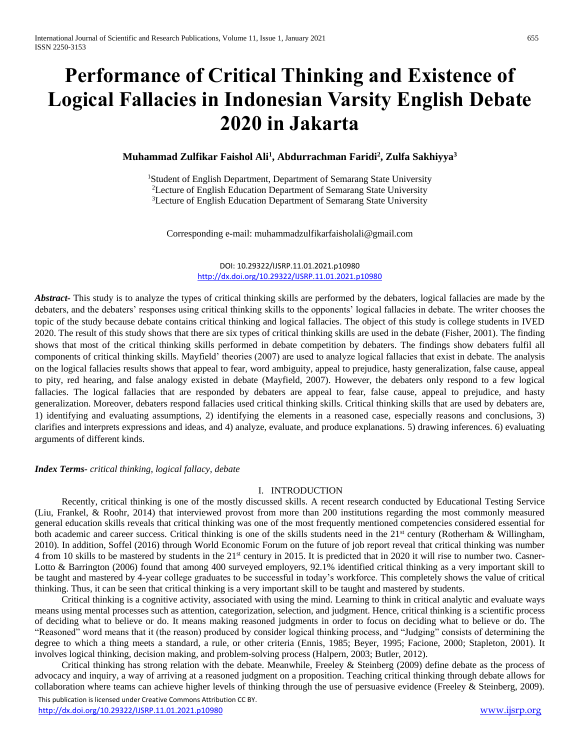# **Performance of Critical Thinking and Existence of Logical Fallacies in Indonesian Varsity English Debate 2020 in Jakarta**

## **Muhammad Zulfikar Faishol Ali<sup>1</sup> , Abdurrachman Faridi<sup>2</sup> , Zulfa Sakhiyya<sup>3</sup>**

<sup>1</sup>Student of English Department, Department of Semarang State University <sup>2</sup>Lecture of English Education Department of Semarang State University <sup>3</sup>Lecture of English Education Department of Semarang State University

Corresponding e-mail: muhammadzulfikarfaisholali@gmail.com

### DOI: 10.29322/IJSRP.11.01.2021.p10980 <http://dx.doi.org/10.29322/IJSRP.11.01.2021.p10980>

*Abstract-* This study is to analyze the types of critical thinking skills are performed by the debaters, logical fallacies are made by the debaters, and the debaters' responses using critical thinking skills to the opponents' logical fallacies in debate. The writer chooses the topic of the study because debate contains critical thinking and logical fallacies. The object of this study is college students in IVED 2020. The result of this study shows that there are six types of critical thinking skills are used in the debate (Fisher, 2001). The finding shows that most of the critical thinking skills performed in debate competition by debaters. The findings show debaters fulfil all components of critical thinking skills. Mayfield' theories (2007) are used to analyze logical fallacies that exist in debate. The analysis on the logical fallacies results shows that appeal to fear, word ambiguity, appeal to prejudice, hasty generalization, false cause, appeal to pity, red hearing, and false analogy existed in debate (Mayfield, 2007). However, the debaters only respond to a few logical fallacies. The logical fallacies that are responded by debaters are appeal to fear, false cause, appeal to prejudice, and hasty generalization. Moreover, debaters respond fallacies used critical thinking skills. Critical thinking skills that are used by debaters are, 1) identifying and evaluating assumptions, 2) identifying the elements in a reasoned case, especially reasons and conclusions, 3) clarifies and interprets expressions and ideas, and 4) analyze, evaluate, and produce explanations. 5) drawing inferences. 6) evaluating arguments of different kinds.

#### *Index Terms- critical thinking, logical fallacy, debate*

### I. INTRODUCTION

Recently, critical thinking is one of the mostly discussed skills. A recent research conducted by Educational Testing Service (Liu, Frankel, & Roohr, 2014) that interviewed provost from more than 200 institutions regarding the most commonly measured general education skills reveals that critical thinking was one of the most frequently mentioned competencies considered essential for both academic and career success. Critical thinking is one of the skills students need in the  $21<sup>st</sup>$  century (Rotherham & Willingham, 2010). In addition, Soffel (2016) through World Economic Forum on the future of job report reveal that critical thinking was number 4 from 10 skills to be mastered by students in the 21st century in 2015. It is predicted that in 2020 it will rise to number two. Casner-Lotto & Barrington (2006) found that among 400 surveyed employers, 92.1% identified critical thinking as a very important skill to be taught and mastered by 4-year college graduates to be successful in today's workforce. This completely shows the value of critical thinking. Thus, it can be seen that critical thinking is a very important skill to be taught and mastered by students.

Critical thinking is a cognitive activity, associated with using the mind. Learning to think in critical analytic and evaluate ways means using mental processes such as attention, categorization, selection, and judgment. Hence, critical thinking is a scientific process of deciding what to believe or do. It means making reasoned judgments in order to focus on deciding what to believe or do. The "Reasoned" word means that it (the reason) produced by consider logical thinking process, and "Judging" consists of determining the degree to which a thing meets a standard, a rule, or other criteria (Ennis, 1985; Beyer, 1995; Facione, 2000; Stapleton, 2001). It involves logical thinking, decision making, and problem-solving process (Halpern, 2003; Butler, 2012).

Critical thinking has strong relation with the debate. Meanwhile, Freeley & Steinberg (2009) define debate as the process of advocacy and inquiry, a way of arriving at a reasoned judgment on a proposition. Teaching critical thinking through debate allows for collaboration where teams can achieve higher levels of thinking through the use of persuasive evidence (Freeley & Steinberg, 2009).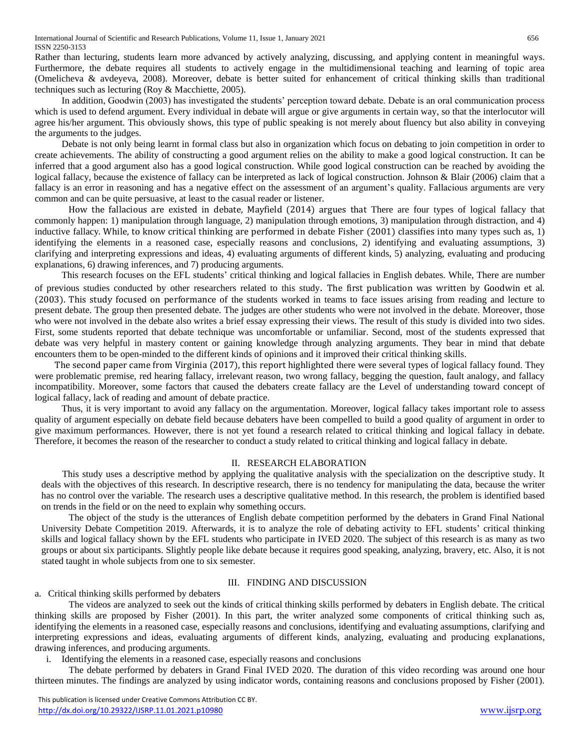Rather than lecturing, students learn more advanced by actively analyzing, discussing, and applying content in meaningful ways. Furthermore, the debate requires all students to actively engage in the multidimensional teaching and learning of topic area (Omelicheva & avdeyeva, 2008). Moreover, debate is better suited for enhancement of critical thinking skills than traditional techniques such as lecturing (Roy & Macchiette, 2005).

In addition, Goodwin (2003) has investigated the students' perception toward debate. Debate is an oral communication process which is used to defend argument. Every individual in debate will argue or give arguments in certain way, so that the interlocutor will agree his/her argument. This obviously shows, this type of public speaking is not merely about fluency but also ability in conveying the arguments to the judges.

Debate is not only being learnt in formal class but also in organization which focus on debating to join competition in order to create achievements. The ability of constructing a good argument relies on the ability to make a good logical construction. It can be inferred that a good argument also has a good logical construction. While good logical construction can be reached by avoiding the logical fallacy, because the existence of fallacy can be interpreted as lack of logical construction. Johnson & Blair (2006) claim that a fallacy is an error in reasoning and has a negative effect on the assessment of an argument's quality. Fallacious arguments are very common and can be quite persuasive, at least to the casual reader or listener.

How the fallacious are existed in debate, Mayfield (2014) argues that There are four types of logical fallacy that commonly happen: 1) manipulation through language*,* 2) manipulation through emotions, 3) manipulation through distraction, and 4) inductive fallacy. While, to know critical thinking are performed in debate Fisher (2001) classifies into many types such as, 1) identifying the elements in a reasoned case, especially reasons and conclusions, 2) identifying and evaluating assumptions, 3) clarifying and interpreting expressions and ideas, 4) evaluating arguments of different kinds, 5) analyzing, evaluating and producing explanations, 6) drawing inferences, and 7) producing arguments.

This research focuses on the EFL students' critical thinking and logical fallacies in English debates. While, There are number of previous studies conducted by other researchers related to this study. The first publication was written by Goodwin et al. (2003). This study focused on performance of the students worked in teams to face issues arising from reading and lecture to present debate. The group then presented debate. The judges are other students who were not involved in the debate. Moreover, those who were not involved in the debate also writes a brief essay expressing their views. The result of this study is divided into two sides. First, some students reported that debate technique was uncomfortable or unfamiliar. Second, most of the students expressed that debate was very helpful in mastery content or gaining knowledge through analyzing arguments. They bear in mind that debate encounters them to be open-minded to the different kinds of opinions and it improved their critical thinking skills.

The second paper came from Virginia (2017), this report highlighted there were several types of logical fallacy found. They were problematic premise, red hearing fallacy, irrelevant reason, two wrong fallacy, begging the question, fault analogy, and fallacy incompatibility. Moreover, some factors that caused the debaters create fallacy are the Level of understanding toward concept of logical fallacy, lack of reading and amount of debate practice.

Thus, it is very important to avoid any fallacy on the argumentation. Moreover, logical fallacy takes important role to assess quality of argument especially on debate field because debaters have been compelled to build a good quality of argument in order to give maximum performances. However, there is not yet found a research related to critical thinking and logical fallacy in debate. Therefore, it becomes the reason of the researcher to conduct a study related to critical thinking and logical fallacy in debate.

## II. RESEARCH ELABORATION

This study uses a descriptive method by applying the qualitative analysis with the specialization on the descriptive study. It deals with the objectives of this research. In descriptive research, there is no tendency for manipulating the data, because the writer has no control over the variable. The research uses a descriptive qualitative method. In this research, the problem is identified based on trends in the field or on the need to explain why something occurs.

The object of the study is the utterances of English debate competition performed by the debaters in Grand Final National University Debate Competition 2019. Afterwards, it is to analyze the role of debating activity to EFL students' critical thinking skills and logical fallacy shown by the EFL students who participate in IVED 2020. The subject of this research is as many as two groups or about six participants. Slightly people like debate because it requires good speaking, analyzing, bravery, etc. Also, it is not stated taught in whole subjects from one to six semester.

## III. FINDING AND DISCUSSION

a. Critical thinking skills performed by debaters

The videos are analyzed to seek out the kinds of critical thinking skills performed by debaters in English debate. The critical thinking skills are proposed by Fisher (2001). In this part, the writer analyzed some components of critical thinking such as, identifying the elements in a reasoned case, especially reasons and conclusions, identifying and evaluating assumptions, clarifying and interpreting expressions and ideas, evaluating arguments of different kinds, analyzing, evaluating and producing explanations, drawing inferences, and producing arguments.

i. Identifying the elements in a reasoned case, especially reasons and conclusions

The debate performed by debaters in Grand Final IVED 2020. The duration of this video recording was around one hour thirteen minutes. The findings are analyzed by using indicator words, containing reasons and conclusions proposed by Fisher (2001).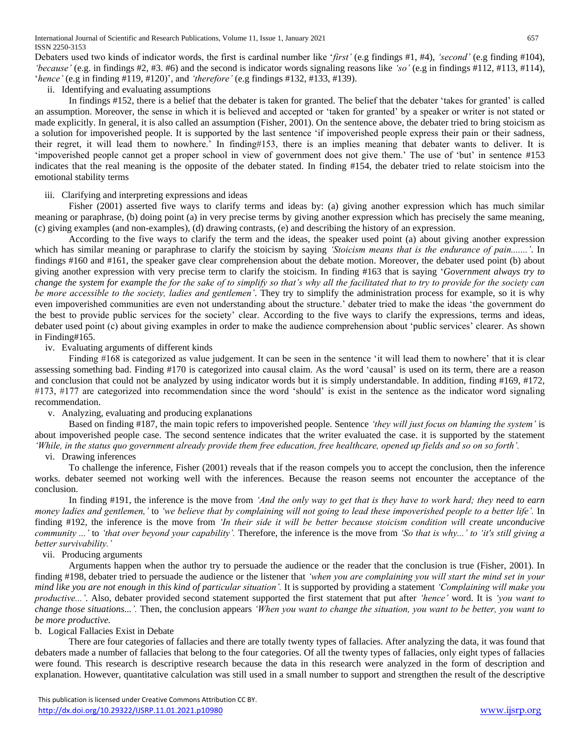Debaters used two kinds of indicator words, the first is cardinal number like '*first'* (e.g findings #1, #4), *'second'* (e.g finding #104), *'because'* (e.g. in findings #2, #3. #6) and the second is indicator words signaling reasons like *'so'* (e.g in findings #112, #113, #114), '*hence'* (e.g in finding #119, #120)', and *'therefore'* (e.g findings #132, #133, #139).

ii. Identifying and evaluating assumptions

In findings #152, there is a belief that the debater is taken for granted. The belief that the debater 'takes for granted' is called an assumption. Moreover, the sense in which it is believed and accepted or 'taken for granted' by a speaker or writer is not stated or made explicitly. In general, it is also called an assumption (Fisher, 2001). On the sentence above, the debater tried to bring stoicism as a solution for impoverished people. It is supported by the last sentence 'if impoverished people express their pain or their sadness, their regret, it will lead them to nowhere.' In finding#153, there is an implies meaning that debater wants to deliver. It is 'impoverished people cannot get a proper school in view of government does not give them.' The use of 'but' in sentence #153 indicates that the real meaning is the opposite of the debater stated. In finding #154, the debater tried to relate stoicism into the emotional stability terms

## iii. Clarifying and interpreting expressions and ideas

Fisher (2001) asserted five ways to clarify terms and ideas by: (a) giving another expression which has much similar meaning or paraphrase, (b) doing point (a) in very precise terms by giving another expression which has precisely the same meaning, (c) giving examples (and non-examples), (d) drawing contrasts, (e) and describing the history of an expression.

According to the five ways to clarify the term and the ideas, the speaker used point (a) about giving another expression which has similar meaning or paraphrase to clarify the stoicism by saying *'Stoicism means that is the endurance of pain.......'*. In findings #160 and #161, the speaker gave clear comprehension about the debate motion. Moreover, the debater used point (b) about giving another expression with very precise term to clarify the stoicism. In finding #163 that is saying '*Government always try to change the system for example the for the sake of to simplify so that's why all the facilitated that to try to provide for the society can be more accessible to the society, ladies and gentlemen'*. They try to simplify the administration process for example, so it is why even impoverished communities are even not understanding about the structure.' debater tried to make the ideas 'the government do the best to provide public services for the society' clear. According to the five ways to clarify the expressions, terms and ideas, debater used point (c) about giving examples in order to make the audience comprehension about 'public services' clearer. As shown in Finding#165.

iv. Evaluating arguments of different kinds

Finding #168 is categorized as value judgement. It can be seen in the sentence 'it will lead them to nowhere' that it is clear assessing something bad. Finding #170 is categorized into causal claim. As the word 'causal' is used on its term, there are a reason and conclusion that could not be analyzed by using indicator words but it is simply understandable. In addition, finding #169, #172, #173, #177 are categorized into recommendation since the word 'should' is exist in the sentence as the indicator word signaling recommendation.

v. Analyzing, evaluating and producing explanations

Based on finding #187, the main topic refers to impoverished people. Sentence *'they will just focus on blaming the system'* is about impoverished people case. The second sentence indicates that the writer evaluated the case. it is supported by the statement *'While, in the status quo government already provide them free education, free healthcare, opened up fields and so on so forth'.*

vi. Drawing inferences

To challenge the inference, Fisher (2001) reveals that if the reason compels you to accept the conclusion, then the inference works. debater seemed not working well with the inferences. Because the reason seems not encounter the acceptance of the conclusion.

In finding #191, the inference is the move from *'And the only way to get that is they have to work hard; they need to earn money ladies and gentlemen,'* to *'we believe that by complaining will not going to lead these impoverished people to a better life'.* In finding #192, the inference is the move from *'In their side it will be better because stoicism condition will create unconducive community ...'* to *'that over beyond your capability'.* Therefore, the inference is the move from *'So that is why...' to 'it's still giving a better survivability.'*

## vii. Producing arguments

Arguments happen when the author try to persuade the audience or the reader that the conclusion is true (Fisher, 2001). In finding #198, debater tried to persuade the audience or the listener that *'when you are complaining you will start the mind set in your mind like you are not enough in this kind of particular situation'.* It is supported by providing a statement *'Complaining will make you productive...'*. Also, debater provided second statement supported the first statement that put after *'hence'* word. It is *'you want to change those situations...'.* Then, the conclusion appears *'When you want to change the situation, you want to be better, you want to be more productive.*

## b. Logical Fallacies Exist in Debate

There are four categories of fallacies and there are totally twenty types of fallacies. After analyzing the data, it was found that debaters made a number of fallacies that belong to the four categories. Of all the twenty types of fallacies, only eight types of fallacies were found. This research is descriptive research because the data in this research were analyzed in the form of description and explanation. However, quantitative calculation was still used in a small number to support and strengthen the result of the descriptive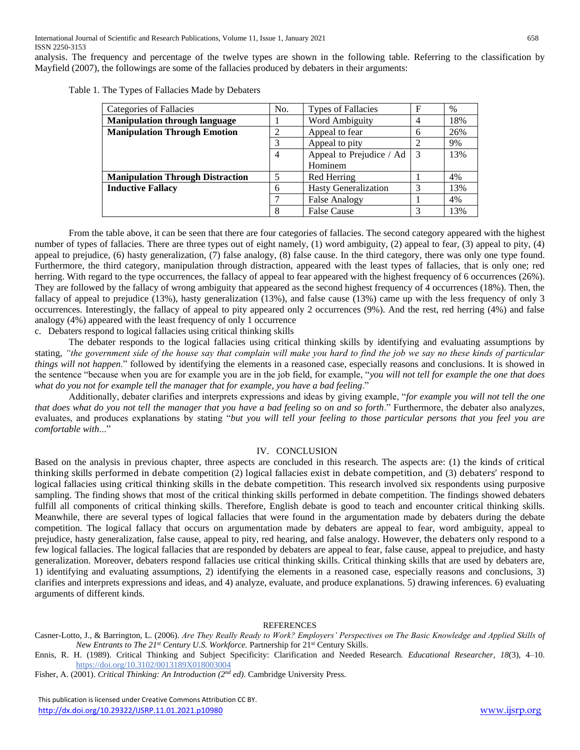analysis. The frequency and percentage of the twelve types are shown in the following table. Referring to the classification by Mayfield (2007), the followings are some of the fallacies produced by debaters in their arguments:

| Categories of Fallacies                 | No. | <b>Types of Fallacies</b>   | F              | $\%$ |
|-----------------------------------------|-----|-----------------------------|----------------|------|
| <b>Manipulation through language</b>    |     | Word Ambiguity              | $\overline{4}$ | 18%  |
| <b>Manipulation Through Emotion</b>     | 2   | Appeal to fear              | 6              | 26%  |
|                                         | 3   | Appeal to pity              | ↑              | 9%   |
|                                         | 4   | Appeal to Prejudice / Ad    | -3             | 13%  |
|                                         |     | Hominem                     |                |      |
| <b>Manipulation Through Distraction</b> | 5   | Red Herring                 |                | 4%   |
| <b>Inductive Fallacy</b>                | 6   | <b>Hasty Generalization</b> | 3              | 13%  |
|                                         |     | <b>False Analogy</b>        |                | 4%   |
|                                         | 8   | <b>False Cause</b>          | 3              | 13%  |

Table 1. The Types of Fallacies Made by Debaters

From the table above, it can be seen that there are four categories of fallacies. The second category appeared with the highest number of types of fallacies. There are three types out of eight namely, (1) word ambiguity, (2) appeal to fear, (3) appeal to pity, (4) appeal to prejudice, (6) hasty generalization, (7) false analogy, (8) false cause. In the third category, there was only one type found. Furthermore, the third category, manipulation through distraction, appeared with the least types of fallacies, that is only one; red herring. With regard to the type occurrences, the fallacy of appeal to fear appeared with the highest frequency of 6 occurrences (26%). They are followed by the fallacy of wrong ambiguity that appeared as the second highest frequency of 4 occurrences (18%). Then, the fallacy of appeal to prejudice (13%), hasty generalization (13%), and false cause (13%) came up with the less frequency of only 3 occurrences. Interestingly, the fallacy of appeal to pity appeared only 2 occurrences (9%). And the rest, red herring (4%) and false analogy (4%) appeared with the least frequency of only 1 occurrence

c. Debaters respond to logical fallacies using critical thinking skills

The debater responds to the logical fallacies using critical thinking skills by identifying and evaluating assumptions by stating, *"the government side of the house say that complain will make you hard to find the job we say no these kinds of particular things will not happen*." followed by identifying the elements in a reasoned case, especially reasons and conclusions. It is showed in the sentence "because when you are for example you are in the job field, for example, "*you will not tell for example the one that does what do you not for example tell the manager that for example, you have a bad feeling*."

Additionally, debater clarifies and interprets expressions and ideas by giving example, "*for example you will not tell the one that does what do you not tell the manager that you have a bad feeling so on and so forth*." Furthermore, the debater also analyzes, evaluates, and produces explanations by stating "*but you will tell your feeling to those particular persons that you feel you are comfortable with*..."

#### IV. CONCLUSION

Based on the analysis in previous chapter, three aspects are concluded in this research. The aspects are: (1) the kinds of critical thinking skills performed in debate competition (2) logical fallacies exist in debate competition, and (3) debaters' respond to logical fallacies using critical thinking skills in the debate competition. This research involved six respondents using purposive sampling. The finding shows that most of the critical thinking skills performed in debate competition. The findings showed debaters fulfill all components of critical thinking skills. Therefore, English debate is good to teach and encounter critical thinking skills. Meanwhile, there are several types of logical fallacies that were found in the argumentation made by debaters during the debate competition. The logical fallacy that occurs on argumentation made by debaters are appeal to fear, word ambiguity, appeal to prejudice, hasty generalization, false cause, appeal to pity, red hearing, and false analogy. However, the debaters only respond to a few logical fallacies. The logical fallacies that are responded by debaters are appeal to fear, false cause, appeal to prejudice, and hasty generalization. Moreover, debaters respond fallacies use critical thinking skills. Critical thinking skills that are used by debaters are, 1) identifying and evaluating assumptions, 2) identifying the elements in a reasoned case, especially reasons and conclusions, 3) clarifies and interprets expressions and ideas, and 4) analyze, evaluate, and produce explanations. 5) drawing inferences. 6) evaluating arguments of different kinds.

#### REFERENCES

Casner-Lotto, J., & Barrington, L. (2006). *Are They Really Ready to Work? Employers' Perspectives on The Basic Knowledge and Applied Skills of New Entrants to The 21st Century U.S. Workforce.* Partnership for 21st Century Skills.

 This publication is licensed under Creative Commons Attribution CC BY. <http://dx.doi.org/10.29322/IJSRP.11.01.2021.p10980> [www.ijsrp.org](http://ijsrp.org/)

Ennis, R. H. (1989). Critical Thinking and Subject Specificity: Clarification and Needed Research. *Educational Researcher*, *18*(3), 4–10. <https://doi.org/10.3102/0013189X018003004>

Fisher, A. (2001). *Critical Thinking: An Introduction (2nd ed).* Cambridge University Press.